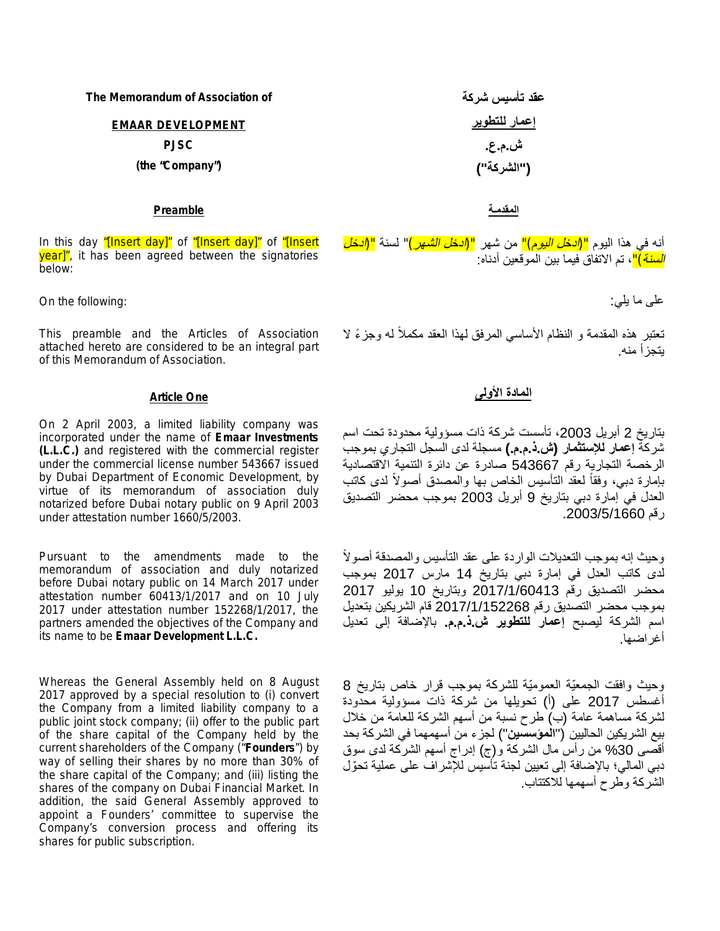| The Memorandum of Association of | عقد تأسيس شركة |
|----------------------------------|----------------|
| <b>EMAAR DEVELOPMENT</b>         | إعمار للتطوير  |
| <b>PJSC</b>                      | ش.م.ع.         |
| (the "Company")                  | ("الشركة")     |
|                                  |                |

### **المقدمـة Preamble**

In this day *"[Insert day]"* of *"[Insert day]"* of *"[Insert* **year]**<sup>n</sup>, it has been agreed between the signatories below:

على ما یلي: :following the On

This preamble and the Articles of Association attached hereto are considered to be an integral part of this Memorandum of Association.

On 2 April 2003, a limited liability company was incorporated under the name of **Emaar Investments (L.L.C.)** and registered with the commercial register under the commercial license number 543667 issued by Dubai Department of Economic Development, by virtue of its memorandum of association duly notarized before Dubai notary public on 9 April 2003 under attestation number 1660/5/2003.

Pursuant to the amendments made to the memorandum of association and duly notarized before Dubai notary public on 14 March 2017 under attestation number 60413/1/2017 and on 10 July 2017 under attestation number 152268/1/2017, the partners amended the objectives of the Company and its name to be **Emaar Development L.L.C.**

Whereas the General Assembly held on 8 August 2017 approved by a special resolution to (i) convert the Company from a limited liability company to a public joint stock company; (ii) offer to the public part of the share capital of the Company held by the current shareholders of the Company ("**Founders**") by way of selling their shares by no more than 30% of the share capital of the Company; and (iii) listing the shares of the company on Dubai Financial Market. In addition, the said General Assembly approved to appoint a Founders' committee to supervise the Company's conversion process and offering its shares for public subscription.

أنھ في ھذا الیوم *"(ادخل الیوم)"* من شھر *"(ادخل الشھر)"* لسنة *"(ادخل السنة)"*، تم الاتفاق فیما بین الموقعین أدناه:

تعتبر هذه المقدمة و النظام الأساسي المرفق لهذا العقد مكملاً له وجزءً لا یتجزأ منھ.

### **المادة الأولى One Article**

بتاریخ 2 أبریل ،2003 تأسست شركة ذات مسؤولیة محدودة تحت اسم شركة **إعمار للإستثمار (ش.ذ.م.م.)** مسجلة لدى السجل التجاري بموجب الرخصة التجاریة رقم 543667 صادرة عن دائرة التنمیة الاقتصادیة بإمارة دبي، وفقاً لعقد التأسيس الخاص بها والمصدق أصولاً لدى كاتب العدل في إمارة دبي بتاریخ 9 أبریل 2003 بموجب محضر التصدیق رقم .2003/5/1660

وحیث إنھ بموجب التعدیلات الواردة على عقد التأسیس والمصدقة أصو ًلا لدى كاتب العدل في إمارة دبي بتاریخ 14 مارس 2017 بموجب محضر التصدیق رقم 2017/1/60413 وبتاریخ 10 یولیو 2017 بموجب محضر التصدیق رقم 2017/1/152268 قام الشریكین بتعدیل اسم الشركة لیصبح **إعمار للتطویر ش.ذ.م.م.** بالإضافة إلى تعدیل أغراضھا.

وحیث وافقت الجمعّیة العمومّیة للشركة بموجب قرار خاص بتاریخ 8 أغسطس 2017 على (أ) تحویلھا من شركة ذات مسؤولیة محدودة لشركة مساھمة عامة (ب) طرح نسبة من أسھم الشركة للعامة من خلال بیع الشریكین الحالیین ("**المؤسسین**") لجزء من أسھمھما في الشركة بحد أقصى %30 من رأس مال الشركة و(ج) إدراج أسھم الشركة لدى سوق دبي المالي؛ بالإضافة إلى تعیین لجنة تأسیس للإشراف على عملیة تحّول الشركة وطرح أسھمھا للاكتتاب.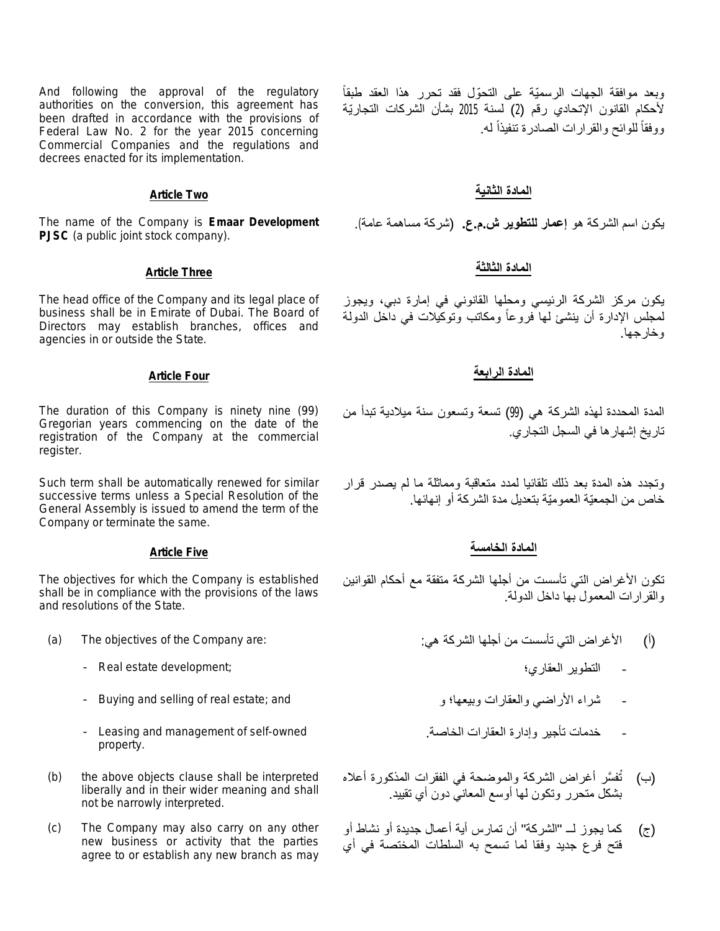And following the approval of the regulatory authorities on the conversion, this agreement has been drafted in accordance with the provisions of Federal Law No. 2 for the year 2015 concerning Commercial Companies and the regulations and decrees enacted for its implementation.

The name of the Company is **Emaar Development PJSC** (a public joint stock company).

The head office of the Company and its legal place of business shall be in Emirate of Dubai. The Board of Directors may establish branches, offices and agencies in or outside the State.

The duration of this Company is ninety nine (99) Gregorian years commencing on the date of the registration of the Company at the commercial register.

Such term shall be automatically renewed for similar successive terms unless a Special Resolution of the General Assembly is issued to amend the term of the Company or terminate the same.

The objectives for which the Company is established shall be in compliance with the provisions of the laws and resolutions of the State.

- - Real estate development; العقاري؛ التطویر -
	-
	- Leasing and management of self-owned property.
- (b) the above objects clause shall be interpreted liberally and in their wider meaning and shall not be narrowly interpreted.
- (c) The Company may also carry on any other new business or activity that the parties agree to or establish any new branch as may

وبعد موافقة الجھات الرسمّیة على التحّول فقد تحرر ھذا العقد طبقاً لأحكام القانون الإتحادي رقم (2) لسنة 2015 بشأن الشركات التجارّیة ووفقاً للوائح والقرارات الصادرة تنفيذاً له. ً

# **المادة الثانیة Two Article**

یكون اسم الشركة ھو **إعمار للتطویر ش.م.ع.** (شركة مساھمة عامة).

# **المادة الثالثة Three Article**

یكون مركز الشركة الرئیسي ومحلھا القانوني في إمارة دبي، ویجوز لمجلس الإدارة أن ینشئ لھا فروعا ومكاتب وتوكیلات في داخل الدولة ً وخارجھا.

### **المادة الرابعة Four Article**

المدة المحددة لھذه الشركة ھي (99) تسعة وتسعون سنة میلادیة تبدأ من تاریخ إشھارھا في السجل التجاري.

وتجدد ھذه المدة بعد ذلك تلقائیا لمدد متعاقبة ومماثلة ما لم یصدر قرار خاص من الجمعّیة العمومّیة بتعدیل مدة الشركة أو إنھائھا.

### **المادة الخامسة Five Article**

تكون الأغراض التي تأسست من أجلھا الشركة متفقة مع أحكام القوانین والقرارات المعمول بھا داخل الدولة.

- (i) الأغراض التي تأسست من أجلها الشركة هي: : (a) The objectives of the Company are:
	-
	- Buying and selling of real estate; and و وبیعھا؛ والعقارات الأراضي شراء
		- خدمات تأجیر وإدارة العقارات الخاصة.
		- (ب) نُفسَّر أغراض الشركة والموضحة في الفقرات المذكورة أعلاه بشكل متحرر وتكون لھا أوسع المعاني دون أي تقیید.
		- (ج) كما یجوز لــ "الشركة" أن تمارس أیة أعمال جدیدة أو نشاط أو فتح فرع جدید وفقا لما تسمح بھ السلطات المختصة في أي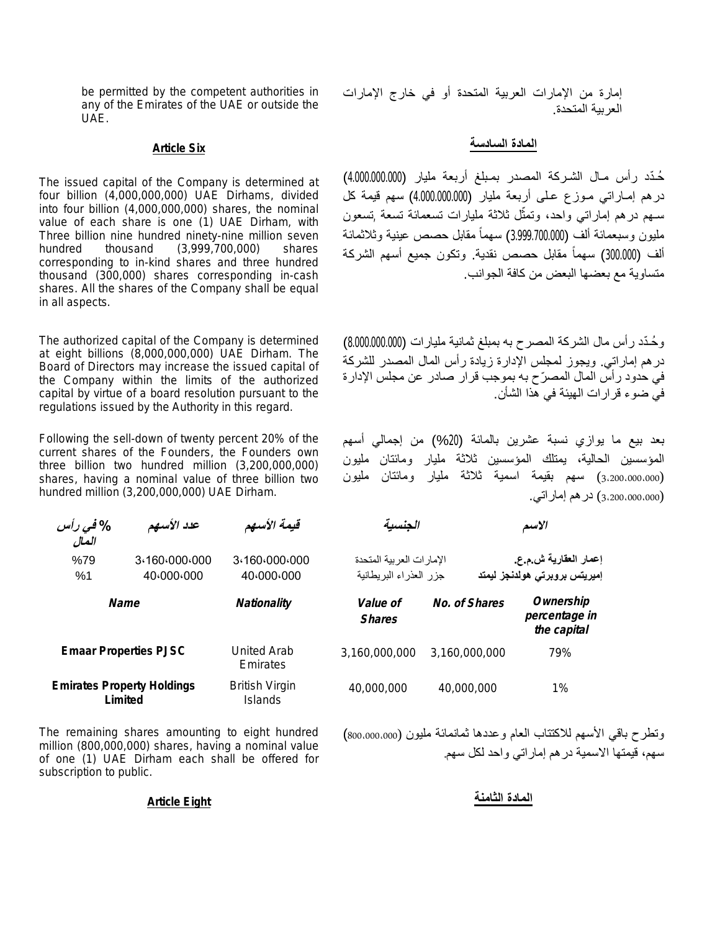be permitted by the competent authorities in any of the Emirates of the UAE or outside the UAE.

The issued capital of the Company is determined at four billion (4,000,000,000) UAE Dirhams, divided into four billion (4,000,000,000) shares, the nominal value of each share is one (1) UAE Dirham, with Three billion nine hundred ninety-nine million seven hundred thousand (3,999,700,000) shares corresponding to in-kind shares and three hundred thousand (300,000) shares corresponding in-cash shares. All the shares of the Company shall be equal in all aspects.

The authorized capital of the Company is determined at eight billions (8,000,000,000) UAE Dirham. The Board of Directors may increase the issued capital of the Company within the limits of the authorized capital by virtue of a board resolution pursuant to the regulations issued by the Authority in this regard.

Following the sell-down of twenty percent 20% of the current shares of the Founders, the Founders own three billion two hundred million (3,200,000,000) shares, having a nominal value of three billion two hundred million (3,200,000,000) UAE Dirham.

| % في رأس<br>المال                        | عدد الأسهم                                   | قيمة الأسهم                             |                                  |  |
|------------------------------------------|----------------------------------------------|-----------------------------------------|----------------------------------|--|
| 3.160.000.000<br>%79<br>40.000.000<br>%1 |                                              | 3.160.000.000<br>40.000.000             | بر بية المتحدة<br>اء البر يطانية |  |
|                                          | Name                                         | <b>Nationality</b>                      | <i>Value of</i><br><b>Shares</b> |  |
|                                          | <b>Emaar Properties PJSC</b>                 | United Arab<br>Emirates                 | 3,160,000,0                      |  |
|                                          | <b>Emirates Property Holdings</b><br>Limited | <b>British Virgin</b><br><b>Islands</b> | 40,000,00                        |  |

The remaining shares amounting to eight hundred million (800,000,000) shares, having a nominal value of one (1) UAE Dirham each shall be offered for subscription to public.

# **المادة السادسة Six Article**

ُحـّدد رأس مـال الشـركة المصدر بمـبلغ أربعة ملیار (4.000.000.000) درھم إمـاراتي مـوزع عـلى أربعة ملیار (4.000.000.000) سھم قیمة كل سـهم درهم إماراتـي واحد، وتمثّل ثلاثة مليارات تسعمائة تسعة ,تسعون ملیون وسبعمائة ألف (3.999.700.000) سھماً مقابل حصص عینیة وثلاثمائة ألف (300.000) سهماً مقابل حصص نقدية. ونكون جميع أسهم الشركة متساویة مع بعضھا البعض من كافة الجوانب.

و ُحـّدد رأس مال الشركة المصرح بھ بمبلغ ثمانیة ملیارات (8.000.000.000) درھم إماراتي. ویجوز لمجلس الإدارة زیادة رأس المال المصدر للشركة في حدود رأس المال المص ّرح بھ بموجب قرار صادر عن مجلس الإدارة في ضوء قرارات الھیئة في ھذا الشأن.

بعد بیع ما یوازي نسبة عشرین بالمائة (%20) من إجمالي أسھم المؤسسین الحالیة، یمتلك المؤسسین ثلاثة ملیار ومائتان ملیون (3،200،000،000) سھم بقیمة اسمیة ثلاثة ملیار ومائتان ملیون (3،200،000،000) درھم إماراتي.

| % <i>في د</i> أ<br>المال | عدد الأسهم                  | قيمة الأسهم                 | الجنسبة                                            |               | الاسم                                                  |
|--------------------------|-----------------------------|-----------------------------|----------------------------------------------------|---------------|--------------------------------------------------------|
| %79<br>%1                | 3.160.000.000<br>40.000.000 | 3.160.000.000<br>40.000.000 | الإمارات العربية المتحدة<br>جزر العذراء البريطانية |               | إعمار العقارية ش م ع.<br>إميريتس بروبرتى هولدنجز ليمتد |
|                          | Name                        | <b>Nationality</b>          | <i>Value of</i><br><b>Shares</b>                   | No. of Shares | Ownership<br>percentage in<br>the capital              |
|                          | maar Properties PJSC        | United Arab<br>Emirates     | 3,160,000,000                                      | 3,160,000,000 | 79%                                                    |
|                          | rates Property Holdings     | <b>British Virgin</b>       | 40,000,000                                         | 40,000,000    | 1%                                                     |

وتطرح باقي الأسھم للاكتتاب العام وعددھا ثمانمائة ملیون (800،000،000) سھم، قیمتھا الاسمیة درھم إماراتي واحد لكل سھم.

# **المادة الثامنة Eight Article**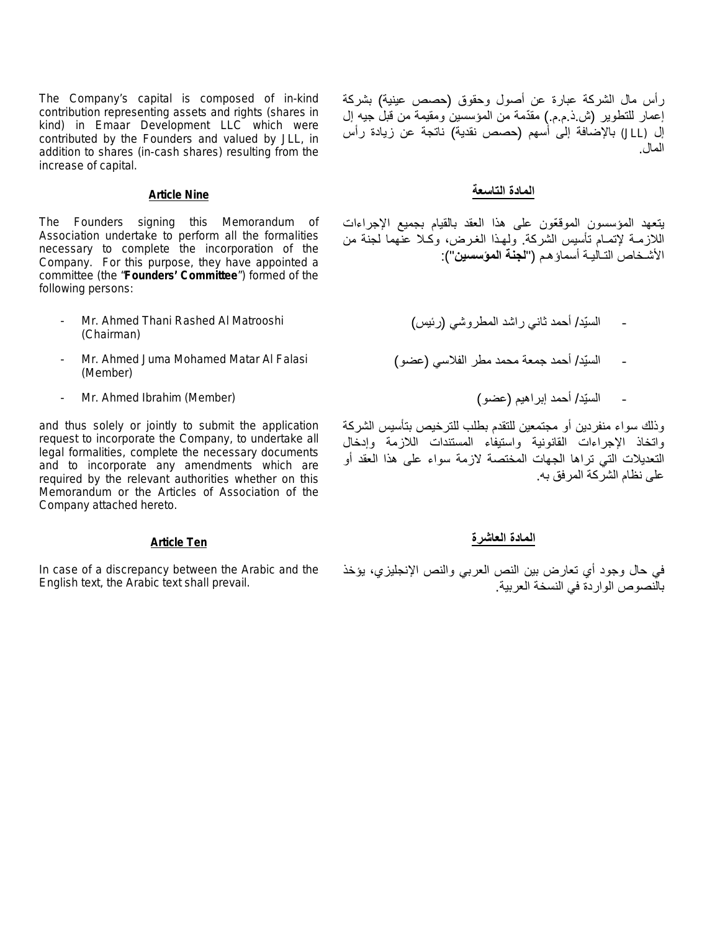The Company's capital is composed of in-kind contribution representing assets and rights (shares in kind) in Emaar Development LLC which were contributed by the Founders and valued by JLL, in addition to shares (in-cash shares) resulting from the increase of capital.

The Founders signing this Memorandum of Association undertake to perform all the formalities necessary to complete the incorporation of the Company. For this purpose, they have appointed a committee (the "**Founders' Committee**") formed of the following persons:

- Mr. Ahmed Thani Rashed Al Matrooshi (Chairman)
- Mr. Ahmed Juma Mohamed Matar Al Falasi (Member)
- السّید/ أحمد إبراھیم (عضو) (Member (Ibrahim Ahmed .Mr -

and thus solely or jointly to submit the application request to incorporate the Company, to undertake all legal formalities, complete the necessary documents and to incorporate any amendments which are required by the relevant authorities whether on this Memorandum or the Articles of Association of the Company attached hereto.

In case of a discrepancy between the Arabic and the English text, the Arabic text shall prevail.

رأس مال الشركة عبارة عن أصول وحقوق (حصص عینیة) بشركة إعمار للتطویر (ش.ذ.م.م.) مقّدمة من المؤسسین ومقیمة من قبل جیھ إل إل (JLL (بالإضافة إلى أسھم (حصص نقدیة) ناتجة عن زیادة رأس المال.

### **المادة التاسعة Nine Article**

یتعھد المؤسسون الموق ّعون على ھذا العقد بالقیام بجمیع الإجراءات اللازمـة لإتمـام تأسیس الشركة. ولھـذا الغـرض، وكـلا عنھما لجنة من الأشـخاص التـالیـة أسماؤھـم ("**لجنة المؤسسین**"):

- السّید/ أحمد ثاني راشد المطروشي (رئیس)
- السّید/ أحمد جمعة محمد مطر الفلاسي (عضو)
	-

وذلك سواء منفردین أو مجتمعین للتقدم بطلب للترخیص بتأسیس الشركة واتخاذ الإجراءات القانونیة واستیفاء المستندات اللازمة وإدخال التعدیلات التي تراھا الجھات المختصة لازمة سواء على ھذا العقد أو على نظام الشركة المرفق بھ.

# **المادة العاشرة Ten Article**

في حال وجود أي تعارض بین النص العربي والنص الإنجلیزي، یؤخذ بالنصوص الواردة في النسخة العربیة.